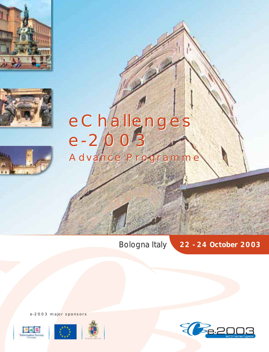





# Advance Programme Advance ProgrammeeChallenges e-2003 eChallenges e-2003

Bologna *Italy* **22 - 24 October 2003**

E Pe.20

e-2003 major sponsors



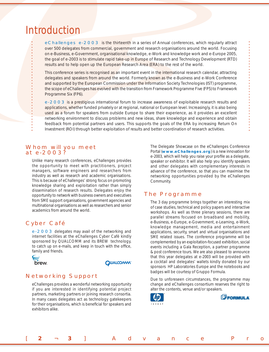# Introduction

eChallenges e-2003 is the thirteenth in a series of Annual conferences, which regularly attract over 500 delegates from commercial, government and research organisations around the world. Focusing on e-Business, e-Government, organisational knowledge, e-Work and knowledge work and e-Europe 2005, the goal of e-2003 is to stimulate rapid take-up in Europe of Research and Technology Development (RTD) results and to help open up the European Research Area (ERA) to the rest of the world.

This conference series is recognised as an important event in the international research calendar, attracting delegates and speakers from around the world. Formerly known as the e-Business and e-Work Conference and supported by the European Commission under the Information Society Technologies (IST) programme, the scope of eChallenges has evolved with the transition from Framework Programme Five (FP5) to Framework Programme Six (FP6).

e-2003 is a prestigious international forum to increase awareness of exploitable research results and applications, whether funded privately or at regional, national or European level. Increasingly, it is also being used as a forum for speakers from outside Europe to share their experience, as it provides an excellent networking environment to discuss problems and new ideas, share knowledge and experience and obtain feedback from potential partners and users. This supports the goals of the ERA by increasing Return On Investment (ROI) through better exploitation of results and better coordination of research activities.

## Whom will you meet at e-2003?

Unlike many research conferences, eChallenges provides the opportunity to meet with practitioners, project managers, software engineers and researchers from industry as well as research and academic organisations. This is because of eChallenges' strong focus on promoting knowledge sharing and exploitation rather than simply dissemination of research results. Delegates enjoy the opportunity to network with business owners and executives from SME support organisations, government agencies and multinational organisations as well as researchers and senior academics from around the world.

# Cyber Café

 $\overline{\mathbf{r}}$ 

e-2003 delegates may avail of the networking and internet facilities at the eChallenges Cyber Café kindly sponsored by QUALCOMM and its BREW technology, to catch up on e-mails, and keep in touch with the office, family and friends.



### **QUALCOMM®**

# Networking Support

eChallenges provides a wonderful networking opportunity if you are interested in identifying potential project partners, marketing partners or joining research consortia. In many cases delegates act as technology gatekeepers for their organisations, which is beneficial for speakers and exhibitors alike.

The Delegate Showcase on the eChallenges Conference Portal (**www.eChallenges.org**) is a new innovation for e-2003, which will help you raise your profile as a delegate, speaker or exhibitor. It will also help you identify speakers and other delegates with complementary interests in advance of the conference, so that you can maximise the networking opportunities provided by the eChallenges Community.

## The Programme

The 3 day programme brings together an interesting mix of case studies, technical and policy papers and interactive workshops. As well as three plenary sessions, there are parallel streams focused on broadband and mobility, e-Business, e-Europe, e-Government, e-Learning, e-Work, knowledge management, media and entertainment applications, security, smart and virtual organisations and SME related issues. The conference programme will be complemented by an exploitation-focused exhibition, social events including a Gala Reception, a partner programme & post conference tours. We are also pleased to announce that this year delegates at e-2003 will be provided with a cocktail and delegates' wallets kindly donated by our sponsors HP Laboratories Europe and the notebooks and badges will be courtesy of Gruppo Formula.

Due to unforeseen circumstances, the programme may change and eChallenges consortium reserves the right to alter the contents, venue and/or speakers.



[ **2** ¬ **3** ] Advance Pro

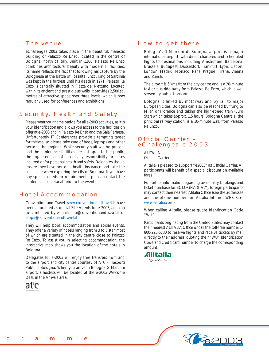# The venue

eChallenges 2003 takes place in the beautiful, majestic building of Palazzo Re Enzo, located in the centre of Bologna, north of Italy. Built in 1200, Palazzo Re Enzo combines architectural beauty with modern IT facilities. Its name reflects the fact that following his capture by the Bolognese at the battle of Fossalta, Enzo, King of Sardinia was kept in the fortress until his death in 1271. Palazzo Re Enzo is centrally situated in Piazza del Nettuno. Located within its ancient and prestigious walls, it provides 2,500 sq. metres of attractive space over three levels, which is now regularly used for conferences and exhibitions.

# Security, Health and Safety

Please wear your name badge for all e-2003 activities, as it is your identification and allows you access to the facilities on offer at e-2003 and in Palazzo Re Enzo and the Sala Farnese. Unfortunately, IT Conferences provide a tempting target for thieves, so please take care of bags, laptops and other personal belongings. While security staff will be present and the conference facilities are not open to the public, the organisers cannot accept any responsibility for losses incurred or for personal health and safety. Delegates should ensure they have personal health insurance and take the usual care when exploring the city of Bologna. If you have any special needs or requirements, please contact the conference secretariat prior to the event.

# Hotel Accommodation

Convention and Travel www.conventionandtravel.it have been appointed as official Site Agents for e-2003, and can be contacted by e-mail: info@conventionandtravel.it or sropa@conventionandtravel.it.

They will help book accommodation and social events. They offer a variety of hotels ranging from 3 to 5 star, most of which are situated in the city centre close to Palazzo Re Enzo. To assist you in selecting accommodation, the interactive map shows you the location of the hotels in Bologna.

Delegates for e-2003 will enjoy free transfers from and to the airport and city centre courtesy of ATC - Trasporti Pubblici Bologna. When you arrive in Bologna G Marconi airport, a hostess will be located at the e-2003 Welcome Desk in the Arrivals area.



# How to get there

Bologna's G.Marconi di Bologna airport is a major international airport, with direct chartered and scheduled flights to destinations including Amsterdam, Barcelona, Brussels, Budapest, Düsseldorf, Frankfurt, Lyon, Lisbon, London, Madrid, Monaco, Paris, Prague, Tirana, Vienna and Zürich.

The airport is 6 kms from the city centre and is a 20-minute taxi or bus ride away from Palazzo Re Enzo, which is well served by public transport.

Bologna is linked by motorway and by rail to major European cities. Bologna can also be reached by flying to Milan or Florence and taking the high-speed train (Euro Star) which takes approx. 1,5 hours. Bologna Centrale, the principal railway station, is a 10-minute walk from Palazzo Re Enzo.

# Official Carrier – eChallenges e-2003

ALITALIA **Official Carrier** 

Alitalia is pleased to support "e2003" as Official Carrier. All participants will benefit of a special discount on available fares

For further information regarding availability, bookings and ticket purchase for BOLOGNA (ITALY), foreign participants may contact their nearest Alitalia Office (see the addresses and the phone numbers on Alitalia Internet WEB Site: www.alitalia.com).

When calling Alitalia, please quote Identification Code "WU".

Participants originating from the United States may contact their nearest ALITALIA Office or call the toll-free number 1-800-223-5730 to reserve flights and receive tickets by mail directly to their address, quoting their "WU" Identification Code and credit card number to charge the corresponding amount.



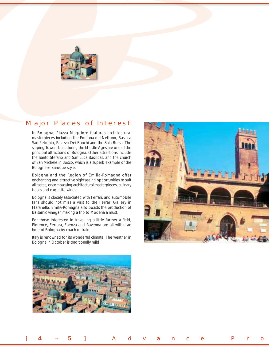

# Major Places of Interest

In Bologna, Piazza Maggiore features architectural masterpieces including the Fontana del Nettuno, Basilica San Petronio, Palazzo Dei Banchi and the Sala Borsa. The sloping Towers built during the Middle Ages are one of the principal attractions of Bologna. Other attractions include the Santo Stefano and San Luca Basilicas, and the church of San Michele in Bosco, which is a superb example of the Bolognese Baroque style.

Bologna and the Region of Emilia-Romagna offer enchanting and attractive sightseeing opportunities to suit all tastes, encompassing architectural masterpieces, culinary treats and exquisite wines.

Bologna is closely associated with Ferrari, and automobile fans should not miss a visit to the Ferrari Gallery in Maranello. Emilia-Romagna also boasts the production of Balsamic vinegar, making a trip to Modena a must.

For those interested in travelling a little further a field, Florence, Ferrara, Faenza and Ravenna are all within an hour of Bologna by coach or train.

Italy is renowned for its wonderful climate. The weather in Bologna in October is traditionally mild.





[ **4** ¬ **5** ] Advance Pro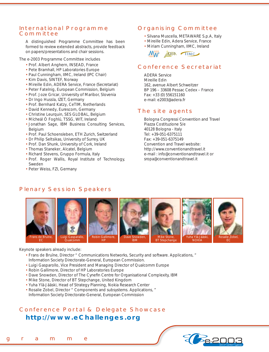## International Programme **Committee**

A distinguished Programme Committee has been formed to review extended abstracts, provide feedback on papers/presentations and chair sessions.

*The e-2003 Programme Committee includes*

- Prof. Albert Anghern, INSEAD, France
- Pete Bramhall, HP Laboratories Europe
- Paul Cunningham, IIMC, Ireland (IPC Chair)
- Kim Davis, SINTEF, Norway
- Mireille Edin, ADERA Service, France (Secretariat)
- Peter Fatelnig, European Commission, Belgium
- Prof. Joze Gricar, University of Maribor, Slovenia
- Dr Ingo Hussla, IZET, Germany
- Prof. Bernhard Katzy, CeTIM, Netherlands
- David Kennedy, Eurescom, Germany
- Christine Leurquin, SES GLOBAL, Belgium
- Mícheál Ó Foghlú, TSSG, WIT, Ireland
- Jonathan Sage, IBM Business Consulting Services, Belgium
- Prof. Paul Schoensleben, ETH Zurich, Switzerland
- Dr Philip Seltsikas, University of Surrey, UK
- Prof. Dan Shunk, University of Cork, Ireland
- Thomas Staneker, Alcatel, Belgium
- Richard Stevens, Gruppo Formula, Italy
- Prof. Roger Wallis, Royal Institute of Technology, Sweden
- Peter Weiss, FZI, Germany

# Organising Committee

- Silvana Muscella, METAWARE S.p.A, Italy
- Mireille Edin, Adera Service, France
- Miriam Cunningham, IIMC, Ireland



# Conference Secretariat

ADERA Service Mireille Edin 162, avenue Albert Schweitzer BP 196 – 33608 Pessac Cedex – France Fax: +33 (0) 556151160 e-mail: e2003@adera.fr

# The site agents

Bologna Congressi Convention and Travel Piazza Costituzione 5/e 40128 Bologna - Italy Tel: +39-051-6375111 Fax: +39-051-6375149 Convention and Travel website: http://www.conventionandtravel.it e-mail : info@conventionandtravel.it or sropa@conventionandtravel.it



### *Keynote speakers already include:*

- Frans de Bruïne, Director " Communications Networks, Security and software. Applications, " Information Society Directorate-General, European Commission.
- Luigi Gasparollo, Vice President and Managing Director of Qualcomm Europe
- Robin Gallimore, Director of HP Laboratories Europe
- Dave Snowden, Director of The Cynefin Centre for Organisational Complexity, IBM
- Mike Stone, Director of BT Stepchange, United Kingdom
- Yuha Ylä-Jääski, Head of Strategy Planning, Nokia Research Center
- Rosalie Zobel, Director " Components and subsystems. Applications, "
- Information Society Directorate-General, European Commission

# Conference Portal & Delegate Showcase **http://www.eChallenges.org**

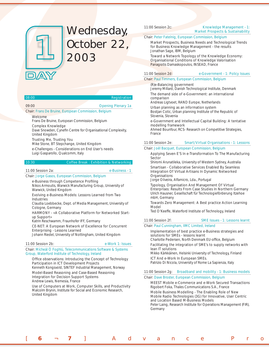

# Wednesday, October 22, 2003

# 08:00 Registration 09:00 Opening Plenary 1a

#### Chair: Frans De Bruine, European Commission, Belgium

#### **Welcome**

*Frans De Bruine, European Commission, Belgium* Complex Knowledge

Dave Snowden, Cynefin Centre for Organisational Complexity, *United Kingdom*

#### Trusting Me, Trusting You

*Mike Stone, BT Stepchange, United Kingdom*

e-Challenges - Considerations on End User's needs *Luigi Gasparollo, Qualcomm, Italy*

### 10:30 Coffee Break : Exhibition & Networking

### 11:00 Session 2a: e-Business - 1

Chair: Jorge Gasos, European Commission, Belgium

e-Business through Competence Profiling *Nikos Armoutis, Warwick Manufacturing Group, University of Warwick, United Kingdom*

Evolving e-Business Models: Lessons Learned from Two Industries

*Claudia Loebbecke, Dept. of Media Management, University of Cologne, Germany*

#### HARMONY - «A Collaborative Platform for Networked Startup Support»

*Katrin Reschwamm, Fraunhofer IFF, Germany*

#### CE-NET: A European Network of Excellence for Concurrent Enterprising - Lessons Learned

*Johann Riedel, University of Nottingham, United Kingdom*

#### 11:00 Session 2b: e-Work 1: Issues

Chair: Mícheál Ó Foghlú, Telecommunications Software & Systems Group, Waterford Institute of Technology, Ireland

### Office observations: Introducing the Concept of Technology Participation in ICT Development Projects

*Kenneth Kongsvold, SINTEF Industrial Management, Norway* Model-Based Reasoning and Case-Based Reasoning

Integration for Decision Support Systems *Andrew Lewis, Nemesia, France*

Use of Computers at Work, Computer Skills, and Productivity *Malcolm Brynin, Institute for Social and Economic Research, United Kingdom*

#### 11:00 Session 2c: Knowledge Management - 1: Market Prospects & Sustainability

Chair: Peter Fatelnig, European Commission, Belgium

Market Prospects, Business Needs and Technological Trends for Business Knowledge Management - the results *Jonathan Sage, IBM, Belgium*

Toward a Network Topology of the Knowledge Economy: Organisational Conditions of Knowledge Valorisation *Panagiotis Damaskopoulos, INSEAD, France*

#### 11:00 Session 2d: e-Government - 1: Policy Issues

### Chair: Paul Timmers, European Commission, Belgium

(R)e-Balancing government *Jeremy Millard, Danish Technological Institute, Denmark*

The demand side of e-Government: an international comparison

*Andreas Ligtvoet, RAND Europe, Netherlands*

Urban planning as an information system

*Bostjan Cotic, Urban planning Institute of the Republic of Slovenia, Slovenia*

e-Government and Intellectual Capital Building: A tentative modelling framework

*Ahmed Bounfour, RCS- Research on Competitive Strategies, France*

#### 11:00 Session 2e: Smart/Virtual Organisations - 1: Lessons

#### Chair: Joël Bacquet, European Commission, Belgium

Applying Seven E'S In e-Transformation To The Manufacturing Sector

*Shiromi Arunatileka, University of Western Sydney, Australia* Smartisan - Collaborative Services Enabled By Seamless Integration Of Virtual Artisans In Dynamic Networked **Organisations** 

*Jorge Oliveira, Alfamicro, Lda., Portugal*

Typology, Organisation And Management Of Virtual Enterprises: Results From Case Studies In Northern Germany *Ulrich Hausner, Gesellschaft für Technologieförderung Itzehoe mbH, Germany*

Towards Zero Management: A Best practice Action Learning Model

*Ted O'Keeffe, Waterford Institute of Technology, Ireland*

#### 11:00 Session 2f: SME Issues - 1: Lessons learnt

[ **6** ¬ **7** ] Advance Pro

Chair: Paul Cunningham, IIMC Limited, Ireland

Implementation of best practice e-Business strategies and solutions for SMEs - lessons learnt

Charlotte Pedersen, North Denmark EU-office, Belgium Facilitating the integration of SME's to supply networks with

lean IT solutions *Mikko Kärkkäinen, Helsinki University of Technology, Finland* ICT And e-Work In European SMEs.

*Patrizio Di Nicola, University of Rome La Sapienza, Italy*

### 11:00 Session 2g: Broadband and mobility - 1: Business models

Chair: Dave Broster, European Commission, Belgium

MEEST Mobile e-Commerce and e-Work Secured Transactions *Rigobert Foka, Thales Communications S.A., France*

Mobile Business Modelling - The Enabling Role of New Mobile Radio Technologies (3G) for Innovative, User Centric and Location Based M-Business Models

*Peter Laing, Research Institute for Operations Management (FIR), Germany*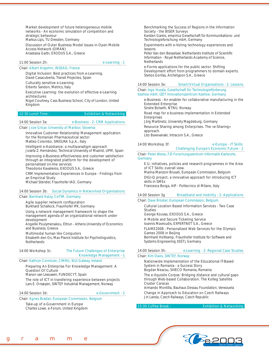Market development of future heterogeneous mobile networks - An economic simulation of competition and strategic behaviour

*Markus Lips, TU Dresden, Germany*

Discussion of Outer Business Model Issues in Open Mobile Access Network (OMAN) *Anastasia Garbi, EXODUS S.A., Greece*

#### 11:00 Session 2h: e-Learning - 1

### Chair: Albert Angehrn, INSEAD, France

Digital Inclusion: Best practices from e-Learning. *David Casacuberta, Transit Projectes, Spain*

Culturally sensitive e-Learning *Erberto Sandon, Metrics, Italy*

#### Executive Learning: the evolution of effective e-Learning architectures

*Nigel Courtney, Cass Business School, City of London, United Kingdom*

12:30 Lunch Time : Exhibition & Networking

14:00 Session 3a: e-Business - 2: CRM Applications

Chair: Joze Gricar, University of Maribor, Slovenia

Innovative Customer Relationship Management application for the Romanian Pharmaceutical sector *Matteo Colombo, SINEURA S.p.A., Italy*

Intelligent e-Assistance: a multiparadigm approach *Josefa Z. Hernández, Technical University of Madrid, UPM, Spain*

Improving e-Business effectiveness and customer satisfaction through an integrated platform for the development of personalised on-line services.

*Theodoros Kavalieros, EXODUS S.A., Greece*

CRM Implementation Experiences in Europe - Findings from an Empirical Study

*Michael Stender, Fraunhofer IAO, Germany*

### 14:00 Session 3b: Social Dynamics in Networked Organisations

### Chair: Bernhard Katzy, CeTIM, Germany

Agile supplier network configuration

*Burkhard Schallock, Fraunhofer IPK, Germany*

Using a network management framework to shape the management agenda of an organizational network under development

*Angeliki Poulymenakou, Eltrun - Athens University of Economics and Business, Greece*

Multimodal human like Computers

*Elisabeth den Os, Max Planck Institute for Psycholinguistics, Netherlands*

#### 14:00 Workshop 3c: The Future Challenges of Enterprise

# Knowledge Management - 1

Chair: Kathryn Cormican, CIMRU, NUI Galway, Ireland

#### Preparing An Enterprise For Knowledge Management: A Question Of Culture

*Manon van Leeuwen, FUNDECYT, Spain*

The role of ICT in transfering experience between projects *Lars E. Onsøyen, SINTEF Industrial Management, Norway*

#### 14:00 Session 3d: e-Government - 2

### Chair: Agnes Bradier, European Commission, Belgium

Take-up of e-Government in Europe *Charles Lowe, e-Forum, United Kingdom*

#### Benchmarking the Success of Regions in the Information Society - the BISER Surveys

*Karsten Gareis, empirica Gesellschaft für Kommunikations- und Technologieforschung mbH, Germany*

### Experiments with e-Voting technology experiences and lessons

Peter Van den Besselaar, Netherlands Institute of Scientific *Information - Royal Netherlands Academy of Science, Netherlands*

e-Forms applications for the public sector. Shifting Development effort from programmers to domain experts. *Stelios Gorilas, Archetypon S.A., Greece*

#### 14:00 Session 3e: Smart/Virtual Organisations - 2: Lessons

Chair: Ingo Hussla, Gesellschaft für Technologieförderung Itzehoe mbH; IZET Innovationszentrum Itzehoe, Germany

e-Business - An enabler for collaborative manufacturing in the Extended Enterprise *Sindre Bolseth, NTNU, Norway*

Road map for e-business implementation in Extended Enterprises *Jörg Martinetz, University Magdeburg, Germany* Resource Sharing among Enterprises. The «e-Sharing» approach. *Lito Baxevanaki, Intracom S.A., Greece*

## 14:00 Workshop 3f: e-Europe - IT Skills:

|  |  | <b>Challenging Europe's Economic Future - 1</b> |  |  |
|--|--|-------------------------------------------------|--|--|
|  |  |                                                 |  |  |

Chair: Peter Weiss, FZI Forschungszentrum Informatik Karlsruhe, **Germany** 

E.U. initiatives, policies and research programmes in the Area of ICT Skills: overall view. *Marina Manzoni Brusati, European Commission, Belgium*

DIGI-Q project, a innovative approach for introducing ICT skills in SMEs *Francesca Borga, AIP - Politecnico di Milano, Italy*

### 14:00 Session 3g Broadband and mobility - 2: Applications

#### Chair: Dave Broster, European Commission, Belgium

Cultural Location Based Information Services - Two Case Studies

*George Kouvas, EXODUS S.A., Greece*

A Mobile and Secure Ticketing Service

*Ioannis Mavroudis, EXPERTNET S.A., Greece*

#### FLAME2008 - Personalized Web Services for the Olympic Games 2008 in Beijing

*Bernhard Holtkamp, Fraunhofer Institute for Software and Systems Engineering (ISST), Germany*

14:00 Session 3h: e-Learning - 2: Regional Case Studies

#### Chair: Kim Davis, SINTEF, Norway

Nationwide Implementation of the Educational IT-Based System in Romania - a Success Story *Bogdan Neacsu, SIVECO Romania, Romania*

#### The e-Xquisite Corpse: Bridging distance and cultural gaps through Web-based Collaboration. The Kolleg Satellite Cluster Caracas

*Armando Montilla, Bauhaus Dessau Foundation, Venezuela* Change in Approach to Education on Czech Railways *Jiri Landa, Czech Railways, Czech Republic*

15:30 Coffee Break : Exhibition & Networking

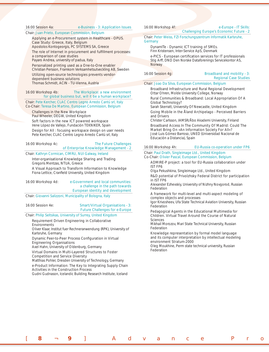16:00 Session 4a: e-Business - 3: Application Issues

#### Chair: Juan Prieto, European Commission, Belgium

Applying an e-Procurement system in Healthcare - OPUS. Case Study: Greece, Italy, Belgium

*Apostolos Kontogeorgis, PC SYSTEMS SA, Greece*

The role of Internet in procurement and fulfillment processes: a comparison of case studies

*Payaro Andrea, university of padua, Italy*

Personalized printing used as a One-to-One enabler *Christian Persson, Framkom Verksamhetsutveckling AB, Sweden*

Utilizing open-source technologies prevents vendordependent business solutions

*Thomas Schmidt, ACIN - TU-Vienna, Austria*

#### 16:00 Workshop 4b: The Workplace: a new environment for global business but, will it be a human workplace?

Chair: Pete Kercher, CLAC Centro Legno Arredo Cantú srl, Italy Co-Chair: Teresa De Martino, European Commission, Belgium

Challenges in the New Workplace

*Paul Wheeler, DEGW, United Kingdom*

Soft factors in the new ICT powered workspace *Irene López de Vallejo, Fundación TEKNIKER, Spain*

Design for All : focusing workspace design on user needs *Pete Kercher, CLAC Centro Legno Arredo Cantú srl, Italy*

#### 16:00 Workshop 4c: The Future Challenges of Enterprise Knowledge Management - 2

Chair: Kathryn Cormican, CIMRU, NUI Galway, Ireland

Inter-organisational Knowledge Sharing and Trading *Gregoris Mentzas, NTUA, Greece*

A Visual Approach to Transform Information to Knowledge Fiona Lettice, Cranfield University, United Kingdom

### 16:00 Workshop 4d: e-Government and local communities: a challenge in the path towards European identity and development

Chair: Giovanni Salizzoni, Municipality of Bologna, Italy

#### 16:00 Session 4e: Smart/Virtual Organisations - 3: Future Challenges for e-Europe

Chair: Philip Seltsikas, University of Surrey, United Kingdom

#### Requirement Driven Engineering in Collaborative **Environments**

*Oliver Klaar, Institut fuer Rechneranwendung (RPK), University of Karlsruhe, Germany*

#### Dynamic Peer-to-Peer Process Configuration in Virtual Engineering Organisations

*Axel Hahn, University of Oldenburg, Germany*

Virtual Domains in Multi-Layered Structures to Foster Competition and Service Diversity

*Matthias Pohler, Dresden University of Technology, Germany* e-Product Information: The Key to Integrating Supply Chain Activities in the Construction Process

*Gudni Gudnason, Icelandic Building Research Institute, Iceland*

### 16:00 Workshop 4f: e-Europe - IT Skills:

## Challenging Europe's Economic Future - 2

Chair: Peter Weiss, FZI Forschungszentrum Informatik Karlsruhe, **Germany** 

#### DynamITe - Dynamic ICT training of SMEs.

*Finn Kristensen, Inter-Service ApS, Denmark*

e-PICS - European certification services for IT professionals *Stig Arff, DND Den Norske Dataforenings Servicekontor AS, Norway*

16:00 Session 4g: Broadband and mobility - 3: Regional Case Studies

#### Chair: Joao Da Silva, European Commission, Belgium

Broadband Infrastructure and Rural Regional Development *Ottar Ohren, Molde University College, Norway*

Rural Communities & Broadband: Local Appropriation Of A Global Technology?

*Sarah Skerratt, University Of Newcastle, United Kingdom*

Going Mobile in the Åland Archipelago - Perceived Barriers and Drivers

*Christer Carlsson, IAMSR/Åbo Akademi University, Finland*

Broadband Access In The Community Of Madrid: Could The Market Bring On «An Information Society For All»? *José Luis Gómez Barroso, UNED (Universidad Nacional de Educación a Distancia), Spain*

#### 16:00 Workshop 4h: EU-Russia co-operation under FP6

Chair: Paul Drath, Singleimage Ltd., United Kingdom Co-Chair: Olivier Pascal, European Commission, Belgium

ADMIRE-P project: a tool for EU-Russia collaboration under IST FP6

*Olga Pekushkina, Singleimage Ltd., United Kingdom*

R&D potential of Privolzhsky Federal District for participation in IST FP6

*Alexander Ezhevskiy, University of Nizhny Novgorod, Russian Federation*

#### A framework for multi-level and multi-aspect modeling of complex objects and processes

*Igor Krivosheev, Ufa State Technical Aviation University, Russian Federation*

#### Pedagogical Agents in the Educational Multimedia for Children. Virtual Travel Around the Course of Natural Sciences

*Mikhail Morozov, Mari State Technical University, Russian Federation*

Knowledge representation by formal model language and its computer interpretation by intellectual modeling environment Stratum-2000

*Oleg Moukhine, Perm state technical university, Russian Federation*

[ **8** ¬ **9** ] Advance Pro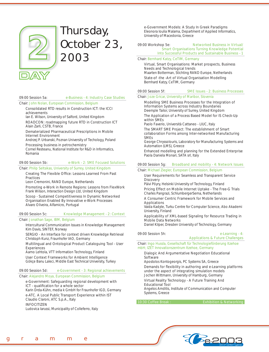

# Thursday, October 23, 2003

09:00 Session 5a: e-Business - 4: Industry Case Studies

#### Chair: John Nolan, European Commission, Belgium

Consolidated RTD results in Construction ICT: the ICCI achievements

*Ian E. Wilson, University of Salford, United Kingdom* ROADCON: roadmapping future RTD in Construction ICT

*Alain Zarli, CSTB, France*

Dematerialized Pharmaceutical Prescriptions in Mobile Internet Environment

*Andrzej P. Urbanski, Poznan University of Techology, Poland* Processing business in petrochemistry

*Cornel Resteanu, National Institute for R&D in Informatics, Romania*

09:00 Session 5b: e-Work - 2: SME Focused Solutions

### Chair: Philip Seltsikas, University of Surrey, United Kingdom

Creating The Flexible Office: Lessons Learned From Past

**Practices** *Leon Cremonini, RAND Europe, Netherlands*

Promoting e-Work in Remote Regions: Lessons from FlexWork *Frank Wilson, Interaction Design Ltd, United Kingdom*

Scoop - Sustained Competitiveness In Dynamic Networked Organisation Enabled By Innovative e-Work Processes *Alvaro Oliveira, Alfamicro, Portugal*

### 09:00 Session 5c: Knowledge Management - 2: Context

### Chair: Jonathan Sage, IBM, Belgium

Intercultural Communication Issues in Knowledge Management *Kim Davis, SINTEF, Norway*

SERGIO - An Interface for context driven Knowledge Retrieval *Christoph Kunz, Fraunhofer IAO, Germany*

Multilingual and Ontological Product Cataloguing Tool - User **Experiences** 

*Aarno Lehtola, VTT Information Technology, Finland* User Context Frameworks for Ambient Intelligence *Gökçe Banu Laleci, Middle East Technical University, Turkey*

### 09:00 Session 5d: e-Government - 3: Regional achievements

#### Chair: Alejandro Moya, European Commission, Belgium

#### e-Government: Safeguarding regional development with ICT - qualification for a whole sector

*Karin Drda-Kühn, media k GmbH for Fraunhofer IGD, Germany* e-ATC. A Local Public Transport Experience within IST

*Claudio Claroni, ATC S.p.A., Italy*

**INFOCITIZEN** 

*Ludovica Iarussi, Municipality of Colleferro, Italy*

e-Government Models: A Study In Greek Paradigms *Eleonora Ioulia Malama, Department of Applied Informatics, University of Macedonia, Greece*

#### 09:00 Workshop 5e: Networked Business in Virtual/ Smart Organisations Turning Knowledge Potential

Into Successful Products and Sustainable Business - 1

#### Chair: Bernhard Katzy, CeTIM, Germany

Virtual, Smart Organisations: Market prospects, Business Needs and Technological trends

*Maarten Botterman, Stichting RAND Europe, Netherlands* State-of -the -Art of Virtual Organisation Modelling *Bernhard Katzy, CeTIM, Germany*

#### 09:00 Session 5f: SME Issues - 2: Business Processes

# Chair: Joze Gricar, University of Maribor, Slovenia

Modelling SME Business Processes for the Integration of Information Systems across Industry Boundaries *Deemple Tailor, University of Surrey, United Kingdom*

The Application of a Process Based Model for IS Check-Up within SMEs

*Paolo Faverio, Università Cattaneo - LIUC, Italy*

The SMART SME Project: The establishment of Smart collaboration Forms among Inter-networked Manufacturing SMEs

*George Chryssolouris, Laboratory for Manufacturing Systems and Automation (LMS), Greece*

Enhanced modelling and planning for the Extended Enterprise *Paola Daniela Monari, SATA srl, Italy*

### 09:00 Session 5g: Broadband and mobility - 4: Network Issues

### Chair: Michael Ziegler, European Commission, Belgium

#### User Requirements for Seamless and Transparent Service **Discovery**

*Päivi Pöyry, Helsinki University of Technology, Finland*

Pricing Effect on Mobile Internet Uptake - The Free-G Trials *Charles Pangrazi, SchlumbergerSema, Netherlands*

A Consumer Centric Framework for Mobile Services and Applications

*Vaida Kadyte, Turku Centre for Computer Science, Abo Akademi University, Finland*

Applicability of XML-based Signaling for Resource Trading in Mobile Data Networks

*Daniel Kilper, Dresden University of Technology, Germany*

09:00 Session 5h: e-Learning - 4: Applications & Future Challenges

Chair: Ingo Hussla, Gesellschaft für Technologieförderung Itzehoe mbH; IZET Innovationszentrum Itzehoe, Germany

#### Dialogic And Argumentative Negotiation Educational **Software**

*Apostolos Kontogeorgis, PC Systems SA, Greece* Demands for flexibility in authoring and e-Learning platforms under the aspect of integrating simulation models

*Jochen Wittmann, University of Hamburg, Germany*

### Virtual Reality Technology - A Future Training And Educational Tool

*Angelos Amditis, Institute of Communication and Computer Systems, Greece*

10:30 Coffee Break : Exhibition & Networking

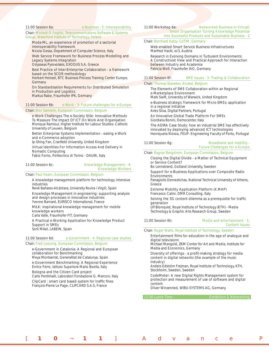#### 11:00 Session 6a: e-Business - 5: Interoperability

Chair: Mícheál Ó Foghlú, Telecommunications Software & Systems Group, Waterford Institute of Technology, Ireland

#### Moda-ML, an experience of promotion of a sectorial interoperability framework

*Nicola Gessa, Department of Computer Science, Italy*

Web Service Framework for Business Process Modelling and Legacy Systems Integration

*Odysseas Pyrovolakis, EXODUS S.A, Greece*

#### Best Practice of Inter-Enterprise Collaboration - a framework based on the SCOR methodology

*Herbert Heinzel, BTC Business Process Training Center Europe, Germany*

On Standardisation Requirements for Distributed Simulation in Production and Logistics *Markus Rabe, Fraunhofer IPK, Germany*

# 11:00 Session 6b: e-Work - 3: Future challenges for e-Europe

### Chair: Bror Salmelin, European Commission, Belgium

e-Work Challenges The e-Society Stile: Innovative Methods To Measure The Impact Of ICT On Work And Organisation *Monique Ramioul, Higher Institute for Labour Studies- Catholic University of Leuven, Belgium*

Better Enterprise Systems Implementation - easing e-Work and e-Commerce adoption

Ip-Shing Fan, Cranfield University, United Kingdom

Virtual Identities For Information Access And Delivery in Nomadic Computing

*Fabio Forno, Politecnico di Torino - DAUIN, Italy*

#### 11:00 Session 6c: Knowledge Management - 4: Knowledge Workers

Chair: Paul Hearn, European Commission, Belgium

A knowledge management platform for technology intensive industries

*René Bañares-Alcántara, University Rovira i Virgili, Spain*

Knowledge Management in engineering: supporting analysis and design processes in innovative industries *Yvonne Barnard, EURISCO International, France*

MILK: inspirational knowledge management for mobile knowledge workers

*Carla Valle, Fraunhofer FIT, Germany*

A Practical e-Working Application for Knowledge Product Support in SMEs *Sorli Mikel, LABEIN, Spain*

#### 11:00 Session 6d: e-Government - 4: Regional case studies

#### Chair: Fred Loeurng, European Commission, Belgium

e-Government in Catalonia: A Regional and European collaboration for Benchmarking

*Meya Montserrat, Generalitat de Catalunya, Spain* e-Government Benchmarking: A Regional Experience *Enrico Ferro, Istituto Superiore Mario Boella, Italy*

Bologna and the Citizen Card project

*Carlo Pentimalli, Laboratori Fondazione G. Marconi, Italy* ClipCard : smart card based system for traffic fines *François-Pierre Le Page, CLIPCARD S.A.S, France*

#### 11:00 Workshop 6e: Networked Business in Virtual/ Smart Organisation Turning Knowledge Potential Into Successful Products and Sustainable Business - 2

#### Chair: Bernhard Katzy, CeTIM, Germany

Web-enabled Smart Service Business Infrastructures *Manfred Hackl, ec3, Austria*

Research in Evolving Domains in Turbulent Environments: A Constructivist View and Practical Approach for Interaction between Industry and Academia *Patricia Wolf, Fraunhofer IAO, Germany*

#### 11:00 Session 6f: SME Issues - 3: Trading & Collaboration

#### Chair: Thomas Staneker, Alcatel, Belgium

The Elements of SME Collaboration within an Regional e-Marketplace Environment

*Mark Swift, University of Warwick, United Kingdom*

e-Business strategic framework for Micro-SMEs: application in a regional initiative *Aires Silva, Digital Partners, Portugal*

An Innovative Global Trade Platform For SMEs *Giordana Bonini, Democenter, Italy*

The ADIRA Case Study: how an industrial SME has effectively innovated by deploying advanced ICT technologies *Henriqueta Nóvoa, FEUP- Engineering Faculty of Porto, Portugal*

#### 11:00 Session 6g: Broadband and mobility -Future Challenges for e-Europe

Chair: Ragnar Bergstrom, European Commission, Belgium

Closing the Digital Divide - a Matter of Technical Equipment or Service Content?

*Bo Lennstrand, Gotland University, Sweden*

Support for e-Business Applications over Composite Radio Environments

*Panagiotis Demestichas, National Technical University of Athens, Greece*

Extreme Mobility Application Platform (X.MAP) *Francesco Catini, DMR Consulting, Italy*

#### Solving the 3G content dilemma as a prerequisite for traffic generation

*Ulf Blomqvist, Royal Institute of Technology (KTH) - Media Technology & Graphic Arts Research Group, Sweden*

11:00 Session 6h: Media and entertainment - 1: Content Issues

### Chair: Roger Wallis, Royal Institute of Technology, Sweden

#### Entertainment films for education in the age of analogue and digital televisionn

*Michael Mangold, ZKM Center for Art and Media, Institute for Media and Economics, Germany*

### Diversity of offerings - a profit-making strategy for media content in digital networks (the example of the music industry)

*Anders Edström Frejman, Royal Institute of Technology, KTH, Stockholm, Sweden, Sweden*

#### CodeMeter: A new Digital Rights Management system for protection and measurement of use of software and digital content

*Oliver Winzenried, WIBU-SYSTEMS AG, Germany*

[ **1 0** ¬ **1 1** ] Advance P

12:30 Lunch Time : Exhibition & Networking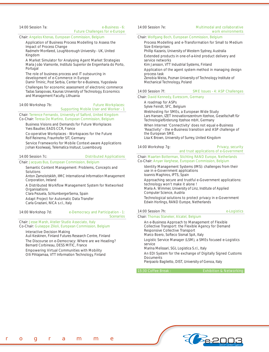#### 14:00 Session 7a: e-Business - 6: Future Challenges for e-Europe

Chair: Angelos Ktenas, European Commission, Belgium

#### Application of Business Process Modelling to Assess the Impact of Process Change

*Radmehr Monfared, Loughborough University - UK, United Kingdom*

#### A Market Simulator for Analysing Agent Market Strategies

*Maria João Viamonte, Instituto Superior de Engenharia do Porto, Portugal*

The role of business process and IT outsourcing in development of e-Commerce in Europe

*Damir Trninic, Post Serbia, Center for e-Business, Yugoslavia*

Challenges for economic assessment of electronic commerce *Tadas Sarapovas, Kaunas University of Technology, Economics and Management Faculty, Lithuania*

#### 14:00 Workshop 7b: Future Workplaces: Supporting Mobile User and Worker - 1

Chair: Terrence Fernando, University of Salford, United Kingdom Co-Chair: Teresa De Martino, European Commission, Belgium

Business Visions and Demands for Future Workplaces *Yves Baudier, EADS CCR, France*

Co-operative Workplaces - Workspaces for the Future *Rolf Reinema, Fraunhofer SIT, Germany*

Service Frameworks for Mobile Context-aware Applications *Johan Koolwaaij, Telematica Insituut, Luxembourg*

14:00 Session 7c: Distributed Applications

#### Chair: Jacques Bus, European Commission, Belgium

Semantic Content Management: Problems, Concepts and Solutions

*Anton Zamolotskikh, IIMC International Information Management Corporation, Ireland*

#### A Distributed Workflow Management System for Networked **Organisations**

*Clara Pezuela, SchlumbergerSema, Spain*

Adapt Project for Automatic Data Transfer *Carla Graziani, NICA s.r.l., Italy*

14:00 Workshop 7d: e-Democracy and Participation - 1: Scenarios

Chair: Jesse Marsh, Atelier Studio Associato, Italy Co-Chair: Guiseppe Zilioli, European Commission, Belgium

### Interactive Decision Making

*Auli Keskinen, Finland Futures Research Centre, Finland* The Discourse on e-Democracy: Where are we Heading?

*Bernard Corbineau, DESS MITIC, France*

Empowering Virtual Communities with Mobility *Olli Pihlajamaa, VTT Information Technology, Finland*

#### 14:00 Session 7e: Multimodal and collaborative work environments

#### Chair: Wolfgang Boch, European Commission, Belgium

Process Modelling and e-Transformation for Small to Medium Size Enterprises

*Phillip Kazanis, University of Western Sydney, Australia* Extended products in one-of-a-kind product delivery and

service networks *Kim Jansson, VTT Industrial Systems, Finland*

#### Application of the agent system method in managing design process task

*Zenobia Weiss, Poznan University of Technology Institute of Mechanical Technology, Poland*

#### 14:00 Session 7f: SME Issues - 4: ASP Challenges

Chair: David Kennedy, Eurescom, Germany

A roadmap for ASPs

*Sylvie Feindt, SFC, Belgium*

Webhosting for SMEs, a European Wide Study

*Lars Hansen, IZET Innovationszentrum Itzehoe, Gesellschaft für Technologieförderung Itzehoe mbH, Germany*

When Internet 'Connectivity' does not equal e-Business 'Reactivity' - the e-Business transition and ASP challenge of the European SME.

*Lisa K Brown, University of Surrey, United Kingdom*

### 14:00 Workshop 7g: Privacy, security

# and trust applications of e-Government

Chair: Maarten Botterman, Stichting RAND Europe, Netherlands Co-Chair: Anyan Varghese, European Commission, Belgium

Identity Management Systems (IMS): challenges from their use in e-Government applications *Ioannis Maghiros, IPTS, Spain*

Approaching secure and trustful e-Government applications: technology won't make it alone !

*Maria A. Wimmer, University of Linz, Institute of Applied Computer Science, Austria*

Technological solutions to protect privacy in e-Government *Edwin Horlings, RAND Europe, Netherlands*

#### 14:00 Session 7h: e-Logistics

#### Chair: Thomas Staneker, Alcatel, Belgium

An e-Business Approach to Management of Flexible Collective Transport: the Flexible Agency for Demand Responsive Collective Transport *Marco Boero, Softeco Sismat SpA, Italy*

Logistic Service Manager (LSM), a SMEs focused e-Logistics service

*Marina Melissari, SGL Logistica S.r.l., Italy*

An EDI System for the exchange of Digitally Signed Customs **Documents** 

*Pierpaolo Baglietto, DIST, University of Genoa, Italy*

15:30 Coffee Break : Exhibition & Networking

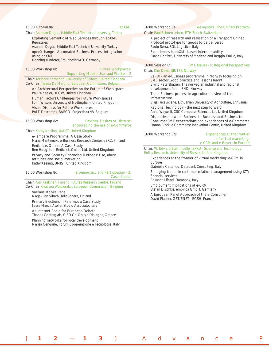#### 16:00 Tutorial 8a: ebXML

### Chair: Asuman Dogac, Middle East Technical University, Turkey

#### Exploiting Semantic of Web Services through ebXML Registries

*Asuman Dogac, Middle East Technical University, Turkey* openXchange - Automated Business Process Integration using ebXML

*Henning Hinderer, Fraunhofer IAO, Germany*

#### 16:00 Workshop 8b: Future Workplaces:

# Supporting Mobile User and Worker - 2

Chair: Terrence Fernando, University of Salford, United Kingdom Co-Chair: Teresa De Martino, European Commission, Belgium

#### An Architectural Perspective on the Future of Workspace *Paul Wheeler, DEGW, United Kingdom*

Human Factors Challenges for Future Workspaces *John Wilson, University of Nottingham, United Kingdom*

Visual Displays for Future Workplaces

*Pol T. Descamps, BARCO (Projection) NV, Belgium*

#### 16:00 Workshop 8c: Devices, Desires or Distrust:

encouraging the use of e-Commerce

### Chair: Kathy Keeling, UMIST, United Kingdom

e-Tampere Programme: A Case Study *Maria Mäntymäki, e-Business Research Center, eBRC, Finland* Redbricks Online: A Case Study *Ben Houghton, RedbricksOnline Ltd, United Kingdom* Privacy and Security Enhancing Methods: Use, abuse, attitudes and social marketing *Kathy Keeling, UMIST, United Kingdom*

#### 16:00 Workshop 8d: e-Democracy and Participation - 2: Case studies

Chair: Auli Keskinen, Finland Futures Research Centre, Finland Co-Chair: Grazyna Wojcieszko, European Commission, Belgium

#### Varkaus Mobile Panel

*Marja-Liisa Viharä, TeliaSonera, Finland* Primary Elections in Palermo: a Case Study *Jesse Marsh, Atelier Studio Associato, Italy*

An Internet Radio for European Debate *Thanos Contargyris, CIED Go-On c/o Dialogos, Greece*

### Planning networks for local development

*Marisa Cengarle, Forum Cooperazione e Tecnologia, Italy*

16:00 Workshop 8e: e-Logistics: The Unified Protocol

#### Chair: Paul Schoensleben, ETH Zurich, Switzerland

A project of research and realisation of a Transport Unified Protocol prototype for goods to be delivered *Paolo Serra, SGL Logistica, Italy* Experiences in ebXML-based interoperability *Flavio Bonfatti, University of Modena and Reggio Emilia, Italy*

#### 16:00 Session 8f: SME Issues - 5: Regional Perspectives

#### Chair: Kim Davis, SINTEF, Norway

VeRDI - an e-Business programme in Norway focusing on SME sector Good practice and lessons learnt *Eivind Petershagen, The norwegian industrial and regional development fund - SND, Norway*

The e-Business process in agriculture: a view of the infrastructure

*Vilija Juceviciene, Lithuanian University of Agriculture, Lithuania* Regional Technology - the next step forward

*Anne Waywell, CSC Computer Sciences Lts, United Kingdom*

Disparities between Business-to-Business and Business-to-Consumer SME expectations and experiences of e-Commerce *Donna Black, e)Commerce Innovation Centre, United Kingdom*

[ **1 2** ¬ **1 3** ] Advance P

16:00 Workshop 8g: Experiences at the frontier of virtual marketing: e-CRM and e-Buyers in Europe

Chair: W. Edward Steinmueller, SPRU - Science and Technology Policy Research, University of Sussex, United Kingdom

Experiences at the frontier of virtual marketing: e-CRM in Europe

*Gabriella Cattaneo, Databank Consulting, Italy*

Emerging trends in customer relation management using ICT: financial services

*Rosanna Lifonti, Databank, Italy*

Employment Implications of e-CRM *Stefan Lilischkis, empirica GmbH, Germany*

A European Panel Approach of the e-Consumer *David Flacher, GET/ENST - EGSH, France*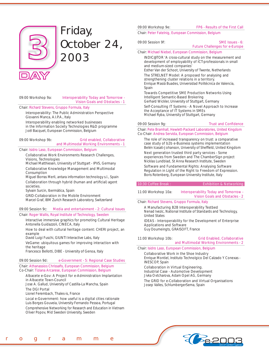

# Friday, October 24, 2003

### 09:00 Workshop 9a: Interoperability Today and Tomorrow - Vision Goals and Obstacles - 1

Chair: Richard Stevens, Gruppo Formula, Italy

Interoperability: The Public Administration Perspective *Giovanni Manca, A.I.P.A., Italy*

Interoperability enabling networked businesses in the Information Society Technologies R&D programme *Joël Bacquet, European Commission, Belgium*

### 09:00 Workshop 9b: Grid enabled, Collaborative and Multimodal Working Environments - 1

Chair: Isidro Laso, European Commission, Belgium

Collaborative Work Environments Research Challenges, Visions, Technologies

*Michael Matthiesen, University of Stuttgart - IPVS, Germany* Collaborative Knowledge Management and Multimodal Consumption

*Miguel Borras Merli, antara information technology s.l., Spain* Collaboration through hybrid (human and artificial) agent societies.

*Sylvain Surcin, Ibermática, Spain*

GRID-Collaboration in the Mobile Environment *Marcel Graf, IBM Zurich Research Laboratory, Switzerland*

#### 09:00 Session 9c: Media and entertainment - 2: Cultural Issues

Chair: Roger Wallis, Royal Institute of Technology, Sweden

Interactive immersive graphics for promoting Cultural Heritage *Antonella Guidazzoli, CINECA, Italy*

How to deal with cultural heritage content: CHERI project, an example

*David Luigi Fuschi, GIUNTI Interactive Labs, Italy*

VeGame: ubiquitous games for improving interaction with the heritage

*Francesco Bellotti, DIBE - University of Genoa, Italy*

#### 09:00 Session 9d: e-Government - 5: Regional Case Studies

Chair: Athanassios Chrissafis, European Commission, Belgium Co-Chair: Tiziana Arcarese, European Commission, Belgium

#### Albacete e-Gov: A Project for e-Administration Implantation in Albacete Town-Council

*Jose A. Gallud, University of Castilla-La Mancha, Spain*

The DGI Portal

*Lionel Ferembach, Thales-is, France*

Local e-Government: how useful is a digital cities rationale *Luis Borges Gouveia, University Fernando Pessoa, Portugal* Comprehensive Networking for Research and Education in Vietnam *Oliver Popov, Mid Sweden University, Sweden*

09:00 Workshop 9e: FP6 - Results of the First Call

Chair: Peter Fatelnig, European Commission, Belgium

09:00 Session 9f: SME Issues - 6:

Future Challenges for e-Europe

Chair: Michael Niebel, European Commission, Belgium

INDIC@TOR 'A cross-cultural study on the measurement and development of employability of ICT-professionals in small and medium-sized companies'

*Esther Van der Schoot, University of Twente, Netherlands* The STRELNET Model: A proposed for analysing and strengthening cluster relations in a territory. *Enrique Masiá Buades, Universidad Politécnica de Valencia,* 

*Spain*

Towards Competitive SME Production Networks Using Intelligent Semantic-Based Brokering *Gerhard Wickler, University of Stuttgart, Germany*

Self-Consulting IT Systems - A Novel Approach to Increase the Acceptance of IT Systems in SMEs *Michael Ryba, University of Stuttgart, Germany*

09:00 Session 9g: Trust and Confidence

Chair: Pete Bramhall, Hewlett-Packard Laboratories, United Kingdom Co-Chair: Andrea Servida, European Commission, Belgium

The role of increased transparency on trust: a comparative case study of b2b e-Business systems implementation Belén Icasati-Johanson, University of Sheffield, United Kingdom Next generation trusted third party services - Some experiences from Sweden and The ChamberSign project *Nicklas Lundblad, St Anna Research Institute, Sweden*

Software and Fundamental Rights: Analysing Software Regulation in Light of the Right to Freedom of Expression. *Boris Rotenberg, European University Institute, Italy*

10:30 Coffee Break : Exhibition & Networking

11:00 Workshop 10a: Interoperability Today and Tomorrow - Vision Goals and Obstacles - 2

Chair: Richard Stevens, Gruppo Formula, Italy

A Manufacturing B2B Interoperability Testbed

*Nenad Ivezic, National Institute of Standards and Technology, United States*

IDEAS - Interoperability for the Development of Enterprise Applications and Software *Guy Doumeingts, GRAISOFT, France*

#### 11:00 Workshop 10b: Grid Enabled, Collaborative and Multimodal Working Environments - 2

Chair: Isidro Laso, European Commission, Belgium

Collaborative Work in the Shoe Industry

*Enrique Montiel, Instituto Technolgico Del Calzado Y Conexas - INESCOP, Spain*

Collaboration in Virtual Engineering.

Industrial Case - Automotive Development *Jivka Ovtcharova, Adam Opel AG, Germany*

The GRID for e-Collaboration and Virtual Organisations *Josep Valles, SchlumbergerSema, Spain*



rogramme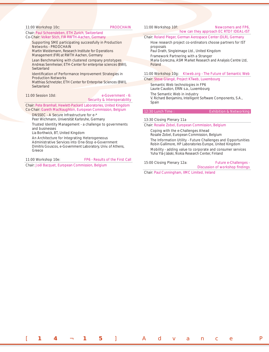#### 11:00 Workshop 10c: PRODCHAIN

#### Chair: Paul Schoensleben, ETH Zurich, Switzerland Co-Chair: Volker Stich, FIR RWTH-Aachen, Germany

#### Supporting SME participating successfully in Production Networks - PRODCHAIN

*Martin Weidemann, Research Institute for Operations Management (FIR) at RWTH Aachen, Germany*

Lean Benchmarking with clustered company prototypes *Andreas Sennheiser, ETH-Center for enterprise sciences (BWI), Switzerland*

#### Identification of Performance Improvement Strategies in Production Networks

*Matthias Schnetzler, ETH Center for Enterprise Sciences (BWI), Switzerland*

### 11:00 Session 10d: e-Government - 6: Security & Interoperability

Chair: Pete Bramhall, Hewlett-Packard Laboratories, United Kingdom Co-Chair: Gareth MacNaughton, European Commission, Belgium

DNSSEC - A Secure Infrastructure for e-\*

*Peer Wichmann, Universität Karlsruhe, Germany*

Trusted Identity Management - a challenge to governments and businesses

*Lia Borthwick, BT, United Kingdom*

An Architecture for Integrating Heterogeneous Administrative Services into One-Stop e-Government *Dimitris Gouscos, e-Government Laboratory, Univ. of Athens, Greece*

11:00 Workshop 10e: FP6 - Results of the First Call

Chair: Joël Bacquet, European Commission, Belgium

#### 11:00 Workshop 10f: Newcomers and FP6, how can they approach EC RTD? IDEAL-IST

Chair: Roland Pleger, German Aerospace Center (DLR), Germany

How research project co-ordinators choose partners for IST proposals

*Paul Drath, Singleimage Ltd., United Kingdom*

Framework Partnering with a Stranger *Maria Goreczna, ASM Market Research and Analysis Centre Ltd, Poland*

#### 11:00 Workshop 10g: Ktweb.org - The Future of Semantic Web

Chair: Steve Glangé, Project KTweb, Luxembourg Semantic Web technologies in FP6

*Laurie Causton, ERIN s.a., Luxembourg* The Semantic Web in industry

*V. Richard Benjamins, Intelligent Software Components, S.A., Spain*

#### 12:30 Lunch Time : Exhibition & Networking

#### 13:30 Closing Plenary 11a

Chair: Rosalie Zobel, European Commission, Belgium

Coping with the e-Challenges Ahead

*Rosalie Zobel, European Commission, Belgium* The Information Utility - Future Challenges and Opportunities

*Robin Gallimore, HP Laboratories Europe, United Kingdom*

Mobility - adding value to corporate and consumer services *Yuha Ylä-Jääski, Nokia Research Center, Finland*

#### 15:00 Closing Plenary 12a: Future e-Challenges -

Discussion of workshop findings

Chair: Paul Cunningham, IIMC Limited, Ireland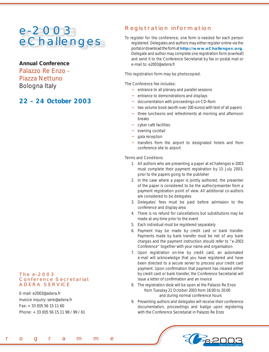# e-2003 eChallenges

**Annual Conference**  Palazzo Re Enzo - Piazza Nettuno Bologna *Italy*

# **22 – 24 October 2003**

### *To register for the conference,* one form is needed for each person registered. Delegates and authors may either register online via the

portal or download the form at **http://www.eChallenges.org**. Delegate and author may complete one registration form (overleaf) and send it to the Conference Secretariat by fax or postal mail or e-mail to: e2003@adera.fr

# *This registration form may be photocopied.*

# *The Conference fee includes:*

- ¬ entrance to all plenary and parallel sessions
- ¬ entrance to demonstrations and displays

Registration information

- documentation with proceedings on CD-Rom
- two volume book (worth over 200 euros) with text of all papers
- three luncheons and refreshments at morning and afternoon breaks
- ¬ cyber café facilities
- evening cocktail
- gala reception
- transfers from the airport to designated hotels and from conference site to airport

### *Terms and Conditions*

- 1. All authors who are presenting a paper at eChallenges e-2003 must complete their payment registration by 15 July 2003, prior to the papers going to the publisher
- 2. In the case where a paper is jointly authored, the presenter of the paper is considered to be the author/presenter from a payment registration point of view. All additional co-authors are considered to be delegates
- 3. Delegates' fees must be paid before admission to the conference and display area
- 4. There is no refund for cancellations but substitutions may be made at any time prior to the event
- 5. Each individual must be registered separately
- 6. Payment may be made by credit card or bank transfer. Payments made by bank transfer must be net of any bank charges and the payment instruction should refer to "e-2003 Conference" together with your name and organisation
- 7. Upon registration on-line by credit card, an automated e-mail will acknowledge that you have registered and have been directed to a secure server to process your credit card payment. Upon confirmation that payment has cleared either by credit card or bank transfer, the Conference Secretariat will issue a letter of confirmation and an invoice
- 8. The registration desk will be open at the Palazzo Re Enzo from Tuesday 21 October 2003 from 16:00 to 20:00 and during normal conference hours
- 9. Presenting authors and delegates will receive their conference documentation, proceedings and badge upon registering with the Conference Secretariat in Palazzo Re Enzo



### The e-2003 Conference Secretariat ADERA SERVICE

E-mail: e2003@adera.fr Invoice inquiry: sere@adera.fr Fax: + 33 (0)5 56 15 11 60 Phone: + 33 (0)5 56 15 11 98 / 99 / 61

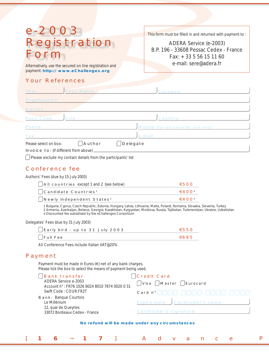# e-2003 Registration orm

Alternatively, use the secured on line registration and **Exercise 2 Constant Constant Constant Constant Constant Constant Constant Constant Constant Constant Constant Constant Constant Constant Constant Constant Constant C** payment: **http:// www.eChallenges.org**

# Your References

This form must be filled in and returned with payment to :

ADERA Service (e-2003) B.P. 196 - 33608 Pessac Cedex - France Fax: + 33 5 56 15 11 60

| Title                 | <b>First Name</b>                                                                                                                                                                                                                                                                    | Surname                           |
|-----------------------|--------------------------------------------------------------------------------------------------------------------------------------------------------------------------------------------------------------------------------------------------------------------------------------|-----------------------------------|
| Organisation          |                                                                                                                                                                                                                                                                                      |                                   |
| <b>Adress</b>         |                                                                                                                                                                                                                                                                                      |                                   |
| <b>Post Code</b>      | City                                                                                                                                                                                                                                                                                 | <b>Country</b>                    |
| <b>Phone</b>          |                                                                                                                                                                                                                                                                                      | Mobile (for secretariat use only) |
| Fax                   |                                                                                                                                                                                                                                                                                      | e-mail                            |
| Please select on box: | Author                                                                                                                                                                                                                                                                               | Delegate                          |
|                       | <b>Invoice to:</b> (if different from above)<br><u>Andrea de la contrada de la contrada de la contrada de la contrada de la contrada de la contrada de la contrada de la contrada de la contrada de la contrada de la contrada de la contrada de la contrada de la contrada de l</u> |                                   |

 $\Box$  Please exclude my contact details from the participants' list

# Conference fee

Authors' Fees *(due by 15 July 2003)*

| $\int$ AII countries except 1 and 2 (see below) | $\epsilon$ 500                      |
|-------------------------------------------------|-------------------------------------|
| $\int$ Candidate Countries <sup>1</sup>         | $\in \mathcal{A} \cap \Omega^{\mu}$ |
| $\int$ Newly Independent States <sup>2</sup>    | $\in$ 400 $^{\circ}$                |

*1 Bulgaria, Cyprus, Czech Republic, Estonia, Hungary, Latvia, Lithuania, Malta, Poland, Romania, Slovakia, Slovenia, Turkey*

*2 Armenia, Azerbaijan, Belarus, Georgia, Kazakhstan, Kyrgyzstan, Moldova, Russia, Tajikistan, Turkmenistan, Ukraine, Uzbekistan ¤ Discounted fee subsidised by the eChallenges Consortium*

Delegates' Fees *(due by 31 July 2003)*

| ∫Early bird - up to 31 July 2003 | $\epsilon$ 550 |
|----------------------------------|----------------|
| $\Box$ Full Fee                  | €685           |

*All Conference Fees include Italian VAT@20%*

# Payment

Payment must be made in Euros  $(\epsilon)$  net of any bank charges. Please tick the box to select the means of payment being used.

| <b>Bank transfer</b><br>ADERA Service e-2003<br>Account n°: FR76 1026 8024 8010 7874 0020 0 31 | Scredit Card<br>$\bigcap$ Visa $\bigcap$ Master $\bigcap$ Eurocard |
|------------------------------------------------------------------------------------------------|--------------------------------------------------------------------|
| Swift Code: COUR.FR2T                                                                          |                                                                    |
| <b>Bank: Banque Courtois</b><br>Le Millénium                                                   | Expire date Cardholder's name                                      |
| 12, quai de Queyries<br>33072 Bordeaux Cedex - France                                          | Cardholder's signature                                             |

[ **1 6** ¬ **1 7** ] Advance P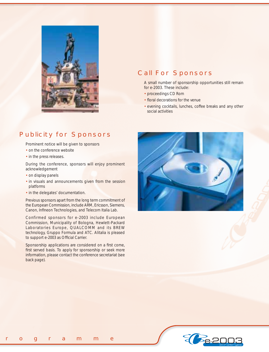

# Call For Sponsors

*A small number of sponsorship opportunities still remain for e-2003. These include:*

- proceedings CD Rom
- floral decorations for the venue
- evening cocktails, lunches, coffee breaks and any other social activities

# Publicity for Sponsors

*Prominent notice will be given to sponsors*

- on the conference website
- in the press releases.

*During the conference, sponsors will enjoy prominent acknowledgement* 

- on display panels
- in visuals and announcements given from the session platforms
- in the delegates' documentation.

Previous sponsors apart from the long term commitment of the European Commission, include ARM, Ericsson, Siemens, Canon, Infineon Technologies, and Telecom Italia Lab.

Confirmed sponsors for e-2003 include European Commission, Municipality of Bologna, Hewlett-Packard Laboratories Europe, QUALCOMM and its BREW technology, Gruppo Formula and ATC. Alitalia is pleased to support e-2003 as Official Carrier.

Sponsorship applications are considered on a first come, first served basis. To apply for sponsorship or seek more information, please contact the conference secretariat (see back page).



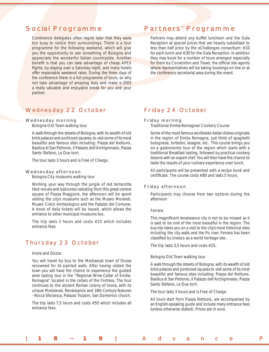# Social Programme

Conference delegates often regret later that they were too busy to notice their surroundings. There is a tour programme for the following weekend, which will give you the opportunity to see something of Bologna and appreciate the wonderful Italian countryside. Another benefit is that you can take advantage of cheap APEX flights, by staying over a Saturday night, and many hotels offer reasonable weekend rates. During the three days of the conference there is a full programme of tours, so why not take advantage of amazing Italy and make e-2003 a really valuable and enjoyable break for you and your partner.

# Wednesday 22 October

### Wednesday morning

*Bologna Old Town walking tour*

A walk through the streets of Bologna, with its wealth of old brick palaces and porticoed squares, to visit some of its most beautiful and famous sites including: Piazza del Nettuno, Basilica di San Petronio, Il Palazzo dell'Archiginnasio, Piazza Santo Stefano, Le Due torri.

*The tour lasts 3 hours and is Free of Charge.*

#### Wednesday afternoon

*Bologna City museums walking tour*

Working your way through the jungle of red terracotta tiled rooves and balconies radiating from this great central square of Piazza Maggiore, the afternoon will be spent visiting the city's museums such as the Museo Morandi, Museo Civico Archeologico and the Palazzo del Comune. A book of daily tickets will be issued, which allows the entrance to other municipal museums too.

*The trip lasts 3 hours and costs €15 which includes entrance fees.* 

## Thursday 23 October

### *Imola and Dozza*

You will travel by bus to the Mediaeval town of Dozza renowned for its painted walls. After having visited the town you will have the chance to experience the guided wine tasting tour in the "Regional Wine-Cellar of Emilia-Romagna" located in the cellars of the Fortress. The tour continues to the ancient Roman colony of Imola, with its unique Medaieval, Renaissance and 18th Century features - Rocca Sforzesca, Palazzo Tozzoni, San Domenico church.

*The trip lasts 7,5 hours and costs €55 which includes all entrance fees.*

# Partners' Programme

Partners may attend any buffet luncheon and the Gala Reception at special prices that are heavily subsidised to less than half price by the eChallenges consortium: €10 for each lunch and €30 for the Gala Reception. In addition they may book for a number of tours arranged especially for them by Convention and Travel, the official site agents where representatives will be taking bookings on line or at the conference secretariat area during the event.

## Friday 24 October

#### Friday morning

### *Traditional Emilia-Romagnan Cookery Course*

Some of the most famous worldwide Italian dishes originate in the region of Emilia Romagna, just think of spaghetti bolognese, tortellini, lasagne, etc.. This course brings you on a gastronomic tour of the region which starts with a traditional Breakfast tasting, followed by practical cookery lessons with an expert chef. You will then have the chance to taste the results of your culinary experience over lunch.

*All participants will be presented with a recipe book and certificate. The course costs €80 and lasts 5 hours.*

### Friday afternoon

*Participants may choose from two options during the afternoon*

#### *Ferrara*

[ **1 8** ¬ **1 9** ] Advance P

This magnificent renaissance city is not to be missed as it is said to be one of the most beautiful in the region. The bus trip takes you on a visit to the city's most historical sites including the city walls and the Po river. Ferrara has been classified by Unesco as a world heritage site.

*The trip lasts 3,5 hours and costs €25.*

#### *Bologna Old Town walking tour*

A walk through the streets of Bologna, with its wealth of old brick palaces and porticoed squares to visit some of its most beautiful and famous sites including: Piazza del Nettuno, Basilica di San Petronio, Il Palazzo dell'Archiginnasio, Piazza Santo Stefano, Le Due torri.

*The tour lasts 3 hours and is Free of Charge.*

*All tours start from Piazza Nettuno, are accompanied by an English-speaking guide and include many entrance fees (unless otherwise stated). Prices are in euro.*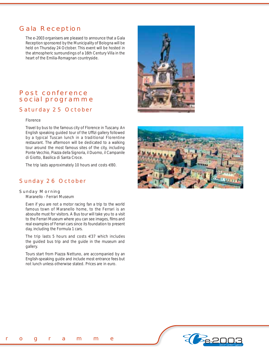# Gala Reception

The e-2003 organisers are pleased to announce that a Gala Reception sponsored by the Municipality of Bologna will be held on Thursday 24 October. This event will be hosted in the atmospheric surroundings of a 16th Century Villa in the heart of the Emilia-Romagnan countryside.

# Post conference social programme

# Saturday 25 October

### *Florence*

Travel by bus to the famous city of Florence in Tuscany. An English speaking guided tour of the Uffizi gallery followed by a typical Tuscan lunch in a traditional Florentine restaurant. The afternoon will be dedicated to a walking tour around the most famous sites of the city, including Ponte Vecchio, Piazza della Signoria, il Duomo, il Campanile di Giotto, Basilica di Santa Croce.

*The trip lasts approximately 10 hours and costs €80.*

# Sunday 26 October

### Sunday Morning

*Maranello - Ferrari Museum*

Even if you are not a motor racing fan a trip to the world famous town of Maranello home, to the Ferrari is an absoulte must for visitors. A Bus tour will take you to a visit to the Ferrari Museum where you can see images, films and real examples of Ferrari cars since its foundation to present day, including the Formula 1 cars.

*The trip lasts 5 hours and costs €37 which includes the guided bus trip and the guide in the museum and gallery.*

*Tours start from Piazza Nettuno, are accompanied by an English-speaking guide and include most entrance fees but not lunch unless otherwise stated. Prices are in euro.*







rogramme